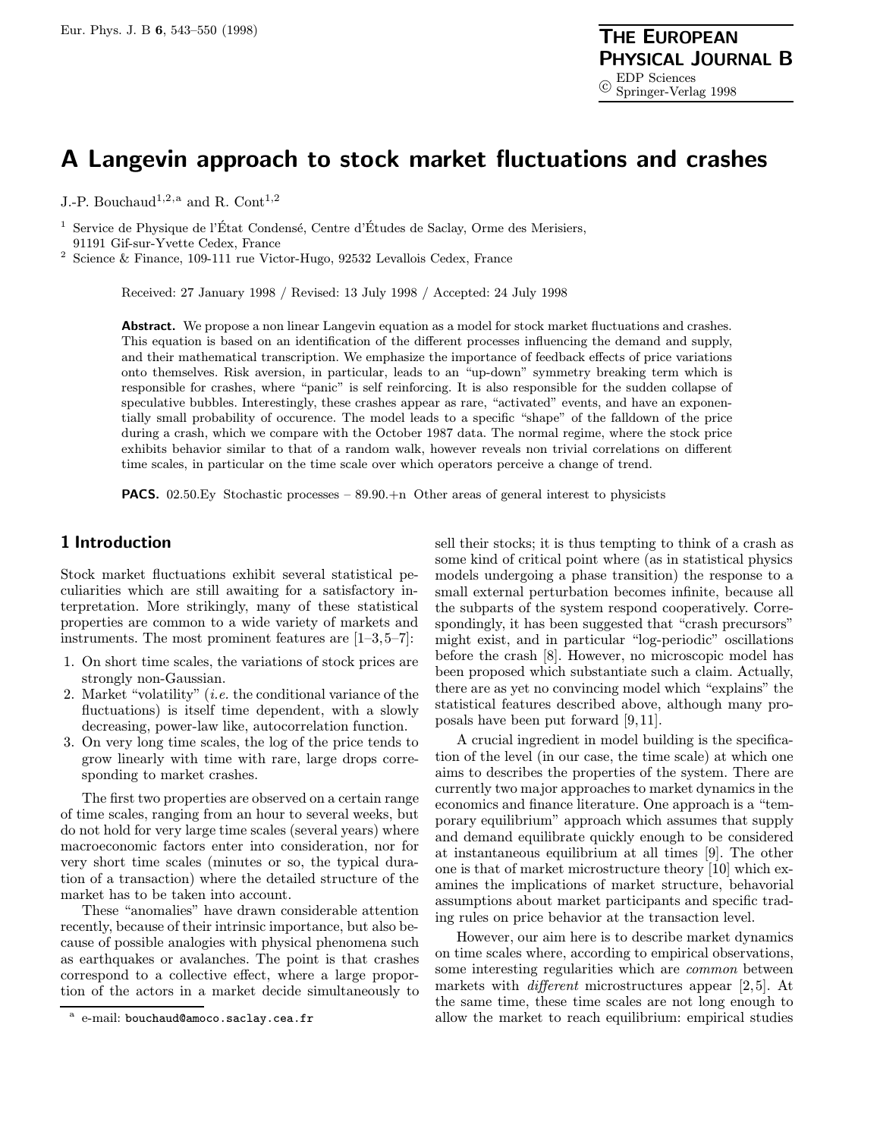# A Langevin approach to stock market fluctuations and crashes

J.-P. Bouchaud<sup>1,2,a</sup> and R. Cont<sup>1,2</sup>

<sup>1</sup> Service de Physique de l'État Condensé, Centre d'Études de Saclay, Orme des Merisiers, 91191 Gif-sur-Yvette Cedex, France

 $^2\,$  Science & Finance, 109-111 rue Victor-Hugo, 92532 Levallois Cedex, France

Received: 27 January 1998 / Revised: 13 July 1998 / Accepted: 24 July 1998

Abstract. We propose a non linear Langevin equation as a model for stock market fluctuations and crashes. This equation is based on an identification of the different processes influencing the demand and supply, and their mathematical transcription. We emphasize the importance of feedback effects of price variations onto themselves. Risk aversion, in particular, leads to an "up-down" symmetry breaking term which is responsible for crashes, where "panic" is self reinforcing. It is also responsible for the sudden collapse of speculative bubbles. Interestingly, these crashes appear as rare, "activated" events, and have an exponentially small probability of occurence. The model leads to a specific "shape" of the falldown of the price during a crash, which we compare with the October 1987 data. The normal regime, where the stock price exhibits behavior similar to that of a random walk, however reveals non trivial correlations on different time scales, in particular on the time scale over which operators perceive a change of trend.

**PACS.** 02.50. Ey Stochastic processes  $- 89.90 + n$  Other areas of general interest to physicists

#### 1 Introduction

Stock market fluctuations exhibit several statistical peculiarities which are still awaiting for a satisfactory interpretation. More strikingly, many of these statistical properties are common to a wide variety of markets and instruments. The most prominent features are  $[1-3, 5-7]$ :

- 1. On short time scales, the variations of stock prices are strongly non-Gaussian.
- 2. Market "volatility" (i.e. the conditional variance of the fluctuations) is itself time dependent, with a slowly decreasing, power-law like, autocorrelation function.
- 3. On very long time scales, the log of the price tends to grow linearly with time with rare, large drops corresponding to market crashes.

The first two properties are observed on a certain range of time scales, ranging from an hour to several weeks, but do not hold for very large time scales (several years) where macroeconomic factors enter into consideration, nor for very short time scales (minutes or so, the typical duration of a transaction) where the detailed structure of the market has to be taken into account.

These "anomalies" have drawn considerable attention recently, because of their intrinsic importance, but also because of possible analogies with physical phenomena such as earthquakes or avalanches. The point is that crashes correspond to a collective effect, where a large proportion of the actors in a market decide simultaneously to sell their stocks; it is thus tempting to think of a crash as some kind of critical point where (as in statistical physics models undergoing a phase transition) the response to a small external perturbation becomes infinite, because all the subparts of the system respond cooperatively. Correspondingly, it has been suggested that "crash precursors" might exist, and in particular "log-periodic" oscillations before the crash [8]. However, no microscopic model has been proposed which substantiate such a claim. Actually, there are as yet no convincing model which "explains" the statistical features described above, although many proposals have been put forward [9,11].

A crucial ingredient in model building is the specification of the level (in our case, the time scale) at which one aims to describes the properties of the system. There are currently two major approaches to market dynamics in the economics and finance literature. One approach is a "temporary equilibrium" approach which assumes that supply and demand equilibrate quickly enough to be considered at instantaneous equilibrium at all times [9]. The other one is that of market microstructure theory [10] which examines the implications of market structure, behavorial assumptions about market participants and specific trading rules on price behavior at the transaction level.

However, our aim here is to describe market dynamics on time scales where, according to empirical observations, some interesting regularities which are common between markets with different microstructures appear [2,5]. At the same time, these time scales are not long enough to allow the market to reach equilibrium: empirical studies

e-mail: bouchaud@amoco.saclay.cea.fr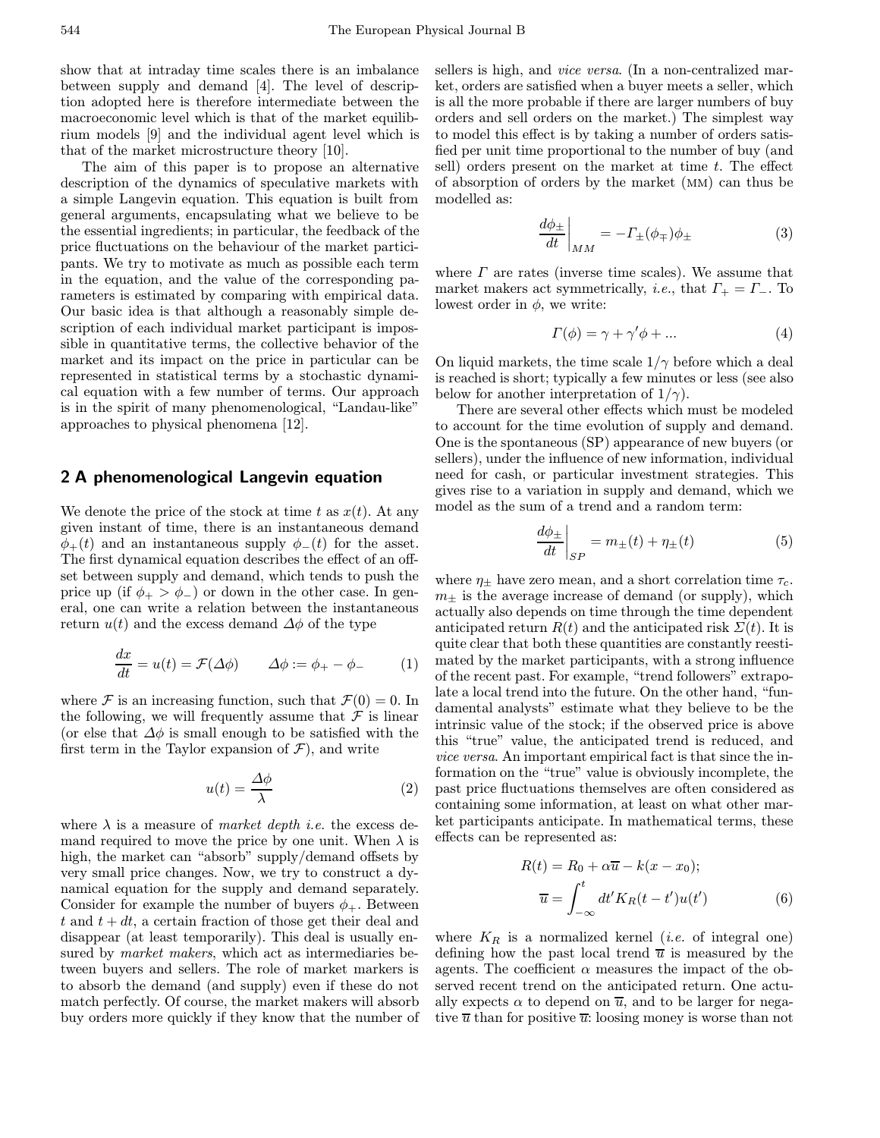show that at intraday time scales there is an imbalance between supply and demand [4]. The level of description adopted here is therefore intermediate between the macroeconomic level which is that of the market equilibrium models [9] and the individual agent level which is that of the market microstructure theory [10].

The aim of this paper is to propose an alternative description of the dynamics of speculative markets with a simple Langevin equation. This equation is built from general arguments, encapsulating what we believe to be the essential ingredients; in particular, the feedback of the price fluctuations on the behaviour of the market participants. We try to motivate as much as possible each term in the equation, and the value of the corresponding parameters is estimated by comparing with empirical data. Our basic idea is that although a reasonably simple description of each individual market participant is impossible in quantitative terms, the collective behavior of the market and its impact on the price in particular can be represented in statistical terms by a stochastic dynamical equation with a few number of terms. Our approach is in the spirit of many phenomenological, "Landau-like" approaches to physical phenomena [12].

#### 2 A phenomenological Langevin equation

We denote the price of the stock at time t as  $x(t)$ . At any given instant of time, there is an instantaneous demand  $\phi_{+}(t)$  and an instantaneous supply  $\phi_{-}(t)$  for the asset. The first dynamical equation describes the effect of an offset between supply and demand, which tends to push the price up (if  $\phi_+ > \phi_-$ ) or down in the other case. In general, one can write a relation between the instantaneous return  $u(t)$  and the excess demand  $\Delta\phi$  of the type

$$
\frac{dx}{dt} = u(t) = \mathcal{F}(\Delta\phi) \qquad \Delta\phi := \phi_+ - \phi_- \qquad (1)
$$

where  $\mathcal F$  is an increasing function, such that  $\mathcal F(0) = 0$ . In the following, we will frequently assume that  $\mathcal F$  is linear (or else that  $\Delta\phi$  is small enough to be satisfied with the first term in the Taylor expansion of  $\mathcal{F}$ ), and write

$$
u(t) = \frac{\Delta \phi}{\lambda} \tag{2}
$$

where  $\lambda$  is a measure of *market depth i.e.* the excess demand required to move the price by one unit. When  $\lambda$  is high, the market can "absorb" supply/demand offsets by very small price changes. Now, we try to construct a dynamical equation for the supply and demand separately. Consider for example the number of buyers  $\phi_+$ . Between t and  $t + dt$ , a certain fraction of those get their deal and disappear (at least temporarily). This deal is usually ensured by *market makers*, which act as intermediaries between buyers and sellers. The role of market markers is to absorb the demand (and supply) even if these do not match perfectly. Of course, the market makers will absorb buy orders more quickly if they know that the number of sellers is high, and *vice versa*. (In a non-centralized market, orders are satisfied when a buyer meets a seller, which is all the more probable if there are larger numbers of buy orders and sell orders on the market.) The simplest way to model this effect is by taking a number of orders satisfied per unit time proportional to the number of buy (and sell) orders present on the market at time  $t$ . The effect of absorption of orders by the market (mm) can thus be modelled as:

$$
\left. \frac{d\phi_{\pm}}{dt} \right|_{MM} = -\varGamma_{\pm}(\phi_{\mp})\phi_{\pm} \tag{3}
$$

where  $\Gamma$  are rates (inverse time scales). We assume that market makers act symmetrically, *i.e.*, that  $\Gamma_+ = \Gamma_-$ . To lowest order in  $\phi$ , we write:

$$
\Gamma(\phi) = \gamma + \gamma' \phi + \dots \tag{4}
$$

On liquid markets, the time scale  $1/\gamma$  before which a deal is reached is short; typically a few minutes or less (see also below for another interpretation of  $1/\gamma$ ).

There are several other effects which must be modeled to account for the time evolution of supply and demand. One is the spontaneous (SP) appearance of new buyers (or sellers), under the influence of new information, individual need for cash, or particular investment strategies. This gives rise to a variation in supply and demand, which we model as the sum of a trend and a random term:

$$
\left. \frac{d\phi_{\pm}}{dt} \right|_{SP} = m_{\pm}(t) + \eta_{\pm}(t) \tag{5}
$$

where  $\eta_{\pm}$  have zero mean, and a short correlation time  $\tau_c$ .  $m_{\pm}$  is the average increase of demand (or supply), which actually also depends on time through the time dependent anticipated return  $R(t)$  and the anticipated risk  $\Sigma(t)$ . It is quite clear that both these quantities are constantly reestimated by the market participants, with a strong influence of the recent past. For example, "trend followers" extrapolate a local trend into the future. On the other hand, "fundamental analysts" estimate what they believe to be the intrinsic value of the stock; if the observed price is above this "true" value, the anticipated trend is reduced, and vice versa. An important empirical fact is that since the information on the "true" value is obviously incomplete, the past price fluctuations themselves are often considered as containing some information, at least on what other market participants anticipate. In mathematical terms, these effects can be represented as:

$$
R(t) = R_0 + \alpha \overline{u} - k(x - x_0);
$$
  

$$
\overline{u} = \int_{-\infty}^{t} dt' K_R(t - t') u(t')
$$
 (6)

where  $K_R$  is a normalized kernel *(i.e.* of integral one) defining how the past local trend  $\overline{u}$  is measured by the agents. The coefficient  $\alpha$  measures the impact of the observed recent trend on the anticipated return. One actually expects  $\alpha$  to depend on  $\overline{u}$ , and to be larger for negative  $\overline{u}$  than for positive  $\overline{u}$ : loosing money is worse than not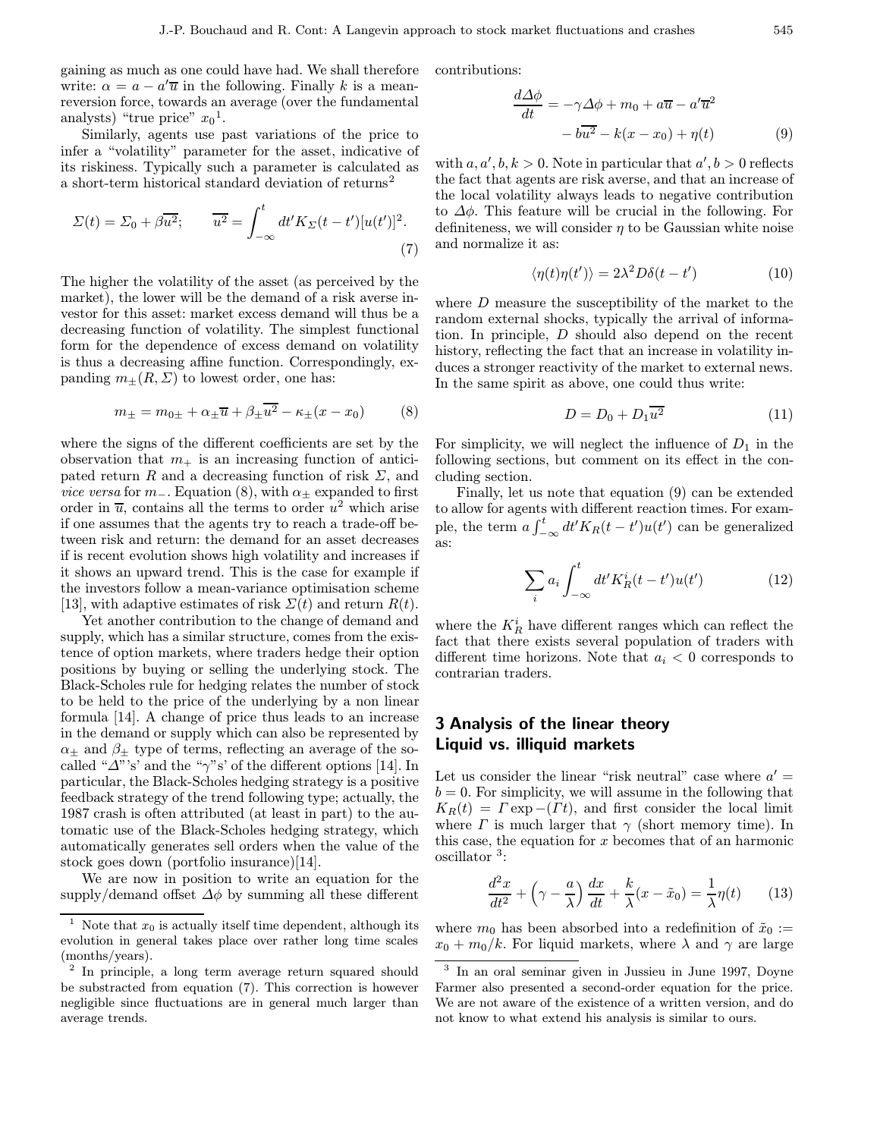gaining as much as one could have had. We shall therefore write:  $\alpha = a - a'\overline{u}$  in the following. Finally k is a meanreversion force, towards an average (over the fundamental analysts) "true price"  $x_0$ <sup>1</sup>.

Similarly, agents use past variations of the price to infer a "volatility" parameter for the asset, indicative of its riskiness. Typically such a parameter is calculated as a short-term historical standard deviation of returns<sup>2</sup>

$$
\Sigma(t) = \Sigma_0 + \beta \overline{u^2}; \qquad \overline{u^2} = \int_{-\infty}^t dt' K_{\Sigma}(t - t')[u(t')]^2.
$$
\n(7)

The higher the volatility of the asset (as perceived by the market), the lower will be the demand of a risk averse investor for this asset: market excess demand will thus be a decreasing function of volatility. The simplest functional form for the dependence of excess demand on volatility is thus a decreasing affine function. Correspondingly, expanding  $m_{\pm}(R, \Sigma)$  to lowest order, one has:

$$
m_{\pm} = m_{0\pm} + \alpha_{\pm}\overline{u} + \beta_{\pm}\overline{u^2} - \kappa_{\pm}(x - x_0)
$$
 (8)

where the signs of the different coefficients are set by the observation that  $m_+$  is an increasing function of anticipated return R and a decreasing function of risk  $\Sigma$ , and *vice versa* for  $m_$ . Equation (8), with  $\alpha_+$  expanded to first order in  $\overline{u}$ , contains all the terms to order  $u^2$  which arise if one assumes that the agents try to reach a trade-off between risk and return: the demand for an asset decreases if is recent evolution shows high volatility and increases if it shows an upward trend. This is the case for example if the investors follow a mean-variance optimisation scheme [13], with adaptive estimates of risk  $\Sigma(t)$  and return  $R(t)$ .

Yet another contribution to the change of demand and supply, which has a similar structure, comes from the existence of option markets, where traders hedge their option positions by buying or selling the underlying stock. The Black-Scholes rule for hedging relates the number of stock to be held to the price of the underlying by a non linear formula [14]. A change of price thus leads to an increase in the demand or supply which can also be represented by  $\alpha_{\pm}$  and  $\beta_{\pm}$  type of terms, reflecting an average of the socalled " $\Delta$ "'s' and the "γ"s' of the different options [14]. In particular, the Black-Scholes hedging strategy is a positive feedback strategy of the trend following type; actually, the 1987 crash is often attributed (at least in part) to the automatic use of the Black-Scholes hedging strategy, which automatically generates sell orders when the value of the stock goes down (portfolio insurance)[14].

We are now in position to write an equation for the supply/demand offset  $\Delta\phi$  by summing all these different contributions:

$$
\frac{d\Delta\phi}{dt} = -\gamma\Delta\phi + m_0 + a\overline{u} - a'\overline{u}^2
$$

$$
-b\overline{u^2} - k(x - x_0) + \eta(t)
$$
(9)

with  $a, a', b, k > 0$ . Note in particular that  $a', b > 0$  reflects the fact that agents are risk averse, and that an increase of the local volatility always leads to negative contribution to  $\Delta\phi$ . This feature will be crucial in the following. For definiteness, we will consider  $\eta$  to be Gaussian white noise and normalize it as:

$$
\langle \eta(t)\eta(t')\rangle = 2\lambda^2 D\delta(t - t')\tag{10}
$$

where D measure the susceptibility of the market to the random external shocks, typically the arrival of information. In principle, D should also depend on the recent history, reflecting the fact that an increase in volatility induces a stronger reactivity of the market to external news. In the same spirit as above, one could thus write:

$$
D = D_0 + D_1 \overline{u^2} \tag{11}
$$

For simplicity, we will neglect the influence of  $D_1$  in the following sections, but comment on its effect in the concluding section.

Finally, let us note that equation (9) can be extended to allow for agents with different reaction times. For example, the term  $a \int_{-\infty}^{t} dt' K_R(t - t') u(t')$  can be generalized as:

$$
\sum_{i} a_i \int_{-\infty}^t dt' K_R^i(t - t') u(t')
$$
 (12)

where the  $K_R^i$  have different ranges which can reflect the fact that there exists several population of traders with different time horizons. Note that  $a_i < 0$  corresponds to contrarian traders.

## 3 Analysis of the linear theory Liquid vs. illiquid markets

Let us consider the linear "risk neutral" case where  $a' =$  $b = 0$ . For simplicity, we will assume in the following that  $K_R(t) = \Gamma \exp(-\Gamma t)$ , and first consider the local limit where  $\Gamma$  is much larger that  $\gamma$  (short memory time). In this case, the equation for  $x$  becomes that of an harmonic oscillator <sup>3</sup>:

$$
\frac{d^2x}{dt^2} + \left(\gamma - \frac{a}{\lambda}\right)\frac{dx}{dt} + \frac{k}{\lambda}(x - \tilde{x}_0) = \frac{1}{\lambda}\eta(t) \tag{13}
$$

where  $m_0$  has been absorbed into a redefinition of  $\tilde{x}_0 :=$  $x_0 + m_0/k$ . For liquid markets, where  $\lambda$  and  $\gamma$  are large

Note that  $x_0$  is actually itself time dependent, although its evolution in general takes place over rather long time scales (months/years).

<sup>2</sup> In principle, a long term average return squared should be substracted from equation (7). This correction is however negligible since fluctuations are in general much larger than average trends.

In an oral seminar given in Jussieu in June 1997, Doyne Farmer also presented a second-order equation for the price. We are not aware of the existence of a written version, and do not know to what extend his analysis is similar to ours.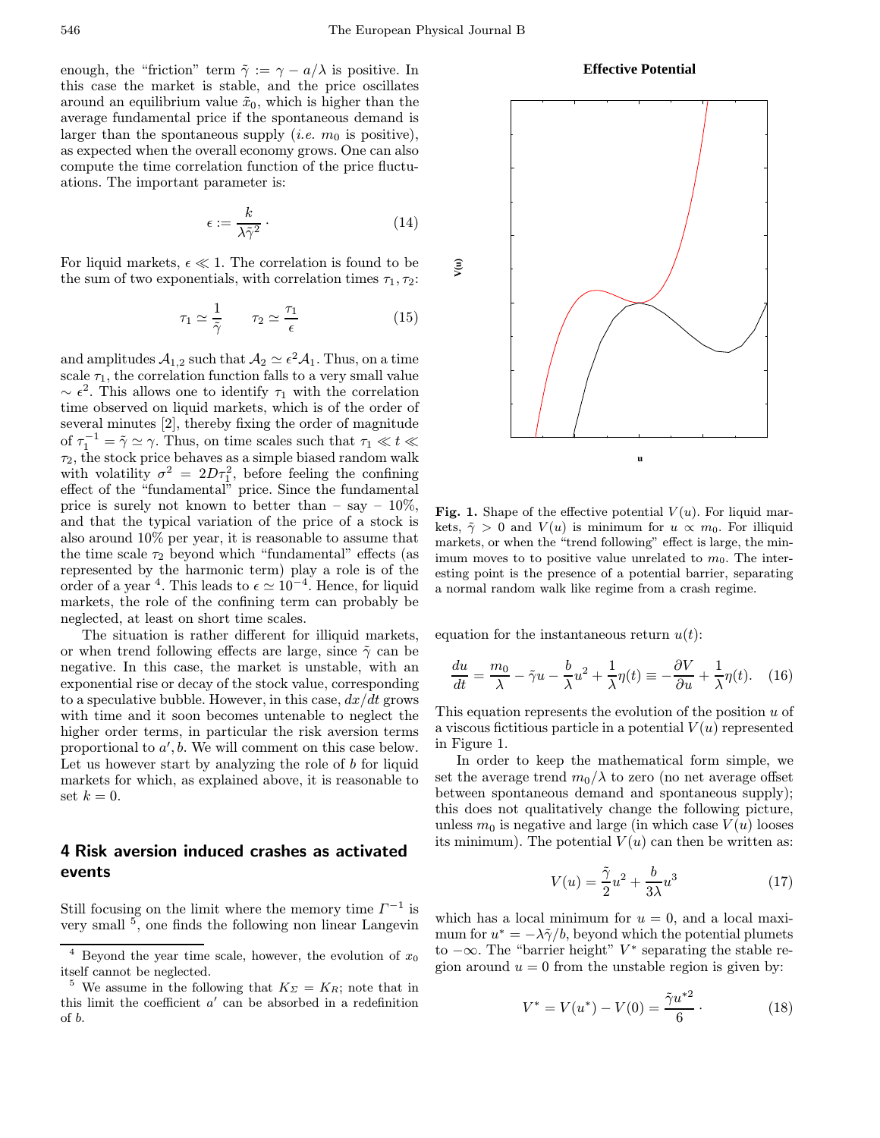enough, the "friction" term  $\tilde{\gamma} := \gamma - a/\lambda$  is positive. In this case the market is stable, and the price oscillates around an equilibrium value  $\tilde{x}_0$ , which is higher than the average fundamental price if the spontaneous demand is larger than the spontaneous supply (*i.e.*  $m_0$  is positive), as expected when the overall economy grows. One can also compute the time correlation function of the price fluctuations. The important parameter is:

$$
\epsilon := \frac{k}{\lambda \tilde{\gamma}^2} \,. \tag{14}
$$

For liquid markets,  $\epsilon \ll 1$ . The correlation is found to be the sum of two exponentials, with correlation times  $\tau_1, \tau_2$ :

$$
\tau_1 \simeq \frac{1}{\tilde{\gamma}} \qquad \tau_2 \simeq \frac{\tau_1}{\epsilon} \tag{15}
$$

and amplitudes  $\mathcal{A}_{1,2}$  such that  $\mathcal{A}_2 \simeq \epsilon^2 \mathcal{A}_1$ . Thus, on a time scale  $\tau_1$ , the correlation function falls to a very small value  $\sim \epsilon^2$ . This allows one to identify  $\tau_1$  with the correlation time observed on liquid markets, which is of the order of several minutes [2], thereby fixing the order of magnitude of  $\tau_1^{-1} = \tilde{\gamma} \simeq \gamma$ . Thus, on time scales such that  $\tau_1 \ll t \ll$  $\tau_2$ , the stock price behaves as a simple biased random walk with volatility  $\sigma^2 = 2D\tau_1^2$ , before feeling the confining effect of the "fundamental" price. Since the fundamental price is surely not known to better than  $-$  say  $-10\%$ , and that the typical variation of the price of a stock is also around 10% per year, it is reasonable to assume that the time scale  $\tau_2$  beyond which "fundamental" effects (as represented by the harmonic term) play a role is of the order of a year <sup>4</sup>. This leads to  $\epsilon \simeq 10^{-4}$ . Hence, for liquid markets, the role of the confining term can probably be neglected, at least on short time scales.

The situation is rather different for illiquid markets, or when trend following effects are large, since  $\tilde{\gamma}$  can be negative. In this case, the market is unstable, with an exponential rise or decay of the stock value, corresponding to a speculative bubble. However, in this case,  $dx/dt$  grows with time and it soon becomes untenable to neglect the higher order terms, in particular the risk aversion terms proportional to  $a', b$ . We will comment on this case below. Let us however start by analyzing the role of  $b$  for liquid markets for which, as explained above, it is reasonable to set  $k = 0$ .

## 4 Risk aversion induced crashes as activated events

Still focusing on the limit where the memory time  $\Gamma^{-1}$  is very small <sup>5</sup>, one finds the following non linear Langevin

 **Effective Potential**



Fig. 1. Shape of the effective potential  $V(u)$ . For liquid markets,  $\tilde{\gamma} > 0$  and  $V(u)$  is minimum for  $u \propto m_0$ . For illiquid markets, or when the "trend following" effect is large, the minimum moves to to positive value unrelated to  $m_0$ . The interesting point is the presence of a potential barrier, separating a normal random walk like regime from a crash regime.

equation for the instantaneous return  $u(t)$ :

$$
\frac{du}{dt} = \frac{m_0}{\lambda} - \tilde{\gamma}u - \frac{b}{\lambda}u^2 + \frac{1}{\lambda}\eta(t) \equiv -\frac{\partial V}{\partial u} + \frac{1}{\lambda}\eta(t). \quad (16)
$$

This equation represents the evolution of the position  $u$  of a viscous fictitious particle in a potential  $V(u)$  represented in Figure 1.

In order to keep the mathematical form simple, we set the average trend  $m_0/\lambda$  to zero (no net average offset between spontaneous demand and spontaneous supply); this does not qualitatively change the following picture, unless  $m_0$  is negative and large (in which case  $V(u)$  looses its minimum). The potential  $V(u)$  can then be written as:

$$
V(u) = \frac{\tilde{\gamma}}{2}u^2 + \frac{b}{3\lambda}u^3\tag{17}
$$

which has a local minimum for  $u = 0$ , and a local maximum for  $u^* = -\lambda \tilde{\gamma}/b$ , beyond which the potential plumets to  $-\infty$ . The "barrier height"  $V^*$  separating the stable region around  $u = 0$  from the unstable region is given by:

$$
V^* = V(u^*) - V(0) = \frac{\tilde{\gamma}u^{*2}}{6} \,. \tag{18}
$$

<sup>&</sup>lt;sup>4</sup> Beyond the year time scale, however, the evolution of  $x_0$ itself cannot be neglected.

<sup>&</sup>lt;sup>5</sup> We assume in the following that  $K_{\Sigma} = K_R$ ; note that in this limit the coefficient  $a'$  can be absorbed in a redefinition of b.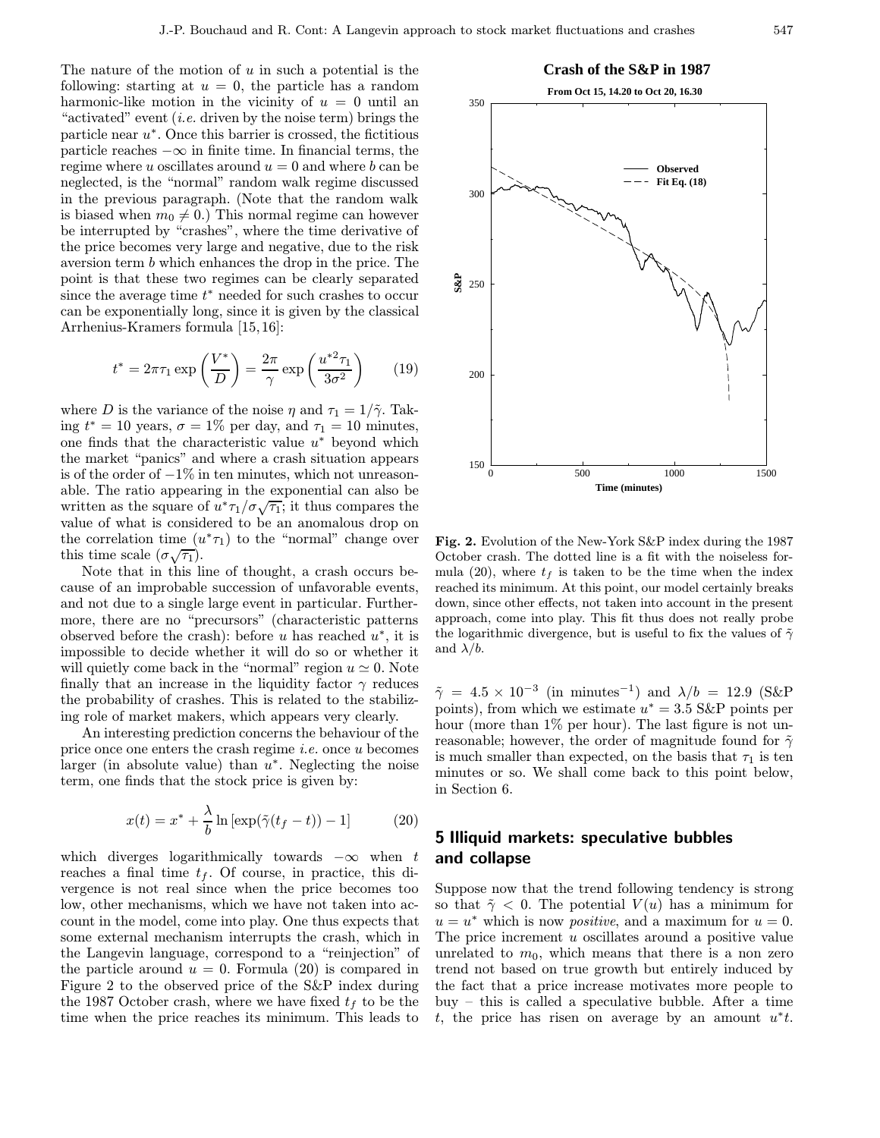350

The nature of the motion of  $u$  in such a potential is the following: starting at  $u = 0$ , the particle has a random harmonic-like motion in the vicinity of  $u = 0$  until an "activated" event  $(i.e.$  driven by the noise term) brings the particle near  $u^*$ . Once this barrier is crossed, the fictitious particle reaches  $-\infty$  in finite time. In financial terms, the regime where u oscillates around  $u = 0$  and where b can be neglected, is the "normal" random walk regime discussed in the previous paragraph. (Note that the random walk is biased when  $m_0 \neq 0$ .) This normal regime can however be interrupted by "crashes", where the time derivative of the price becomes very large and negative, due to the risk aversion term b which enhances the drop in the price. The point is that these two regimes can be clearly separated since the average time  $t^*$  needed for such crashes to occur can be exponentially long, since it is given by the classical Arrhenius-Kramers formula [15,16]:

$$
t^* = 2\pi\tau_1 \exp\left(\frac{V^*}{D}\right) = \frac{2\pi}{\gamma} \exp\left(\frac{u^{*2}\tau_1}{3\sigma^2}\right) \qquad (19)
$$

where D is the variance of the noise  $\eta$  and  $\tau_1 = 1/\tilde{\gamma}$ . Taking  $t^* = 10$  years,  $\sigma = 1\%$  per day, and  $\tau_1 = 10$  minutes, one finds that the characteristic value  $u^*$  beyond which the market "panics" and where a crash situation appears is of the order of  $-1\%$  in ten minutes, which not unreasonable. The ratio appearing in the exponential can also be written as the square of  $u^* \tau_1/\sigma \sqrt{\tau_1}$ ; it thus compares the value of what is considered to be an anomalous drop on the correlation time  $(u^*\tau_1)$  to the "normal" change over this time scale  $(\sigma \sqrt{\tau_1})$ .

Note that in this line of thought, a crash occurs because of an improbable succession of unfavorable events, and not due to a single large event in particular. Furthermore, there are no "precursors" (characteristic patterns observed before the crash): before u has reached  $u^*$ , it is impossible to decide whether it will do so or whether it will quietly come back in the "normal" region  $u \approx 0$ . Note finally that an increase in the liquidity factor  $\gamma$  reduces the probability of crashes. This is related to the stabilizing role of market makers, which appears very clearly.

An interesting prediction concerns the behaviour of the price once one enters the crash regime  $i.e.$  once u becomes larger (in absolute value) than  $u^*$ . Neglecting the noise term, one finds that the stock price is given by:

$$
x(t) = x^* + \frac{\lambda}{b} \ln \left[ \exp(\tilde{\gamma}(t_f - t)) - 1 \right]
$$
 (20)

which diverges logarithmically towards  $-\infty$  when t reaches a final time  $t_f$ . Of course, in practice, this divergence is not real since when the price becomes too low, other mechanisms, which we have not taken into account in the model, come into play. One thus expects that some external mechanism interrupts the crash, which in the Langevin language, correspond to a "reinjection" of the particle around  $u = 0$ . Formula (20) is compared in Figure 2 to the observed price of the S&P index during the 1987 October crash, where we have fixed  $t_f$  to be the time when the price reaches its minimum. This leads to



 **Crash of the S&P in 1987 From Oct 15, 14.20 to Oct 20, 16.30**

Fig. 2. Evolution of the New-York S&P index during the 1987 October crash. The dotted line is a fit with the noiseless formula (20), where  $t_f$  is taken to be the time when the index reached its minimum. At this point, our model certainly breaks down, since other effects, not taken into account in the present approach, come into play. This fit thus does not really probe the logarithmic divergence, but is useful to fix the values of  $\tilde{\gamma}$ and  $\lambda/b$ .

 $\tilde{\gamma} = 4.5 \times 10^{-3}$  (in minutes<sup>-1</sup>) and  $\lambda/b = 12.9$  (S&P) points), from which we estimate  $u^* = 3.5$  S&P points per hour (more than  $1\%$  per hour). The last figure is not unreasonable; however, the order of magnitude found for  $\tilde{\gamma}$ is much smaller than expected, on the basis that  $\tau_1$  is ten minutes or so. We shall come back to this point below, in Section 6.

## 5 Illiquid markets: speculative bubbles and collapse

Suppose now that the trend following tendency is strong so that  $\tilde{\gamma}$  < 0. The potential  $V(u)$  has a minimum for  $u = u^*$  which is now *positive*, and a maximum for  $u = 0$ . The price increment  $u$  oscillates around a positive value unrelated to  $m_0$ , which means that there is a non zero trend not based on true growth but entirely induced by the fact that a price increase motivates more people to buy – this is called a speculative bubble. After a time t, the price has risen on average by an amount  $u^*t$ .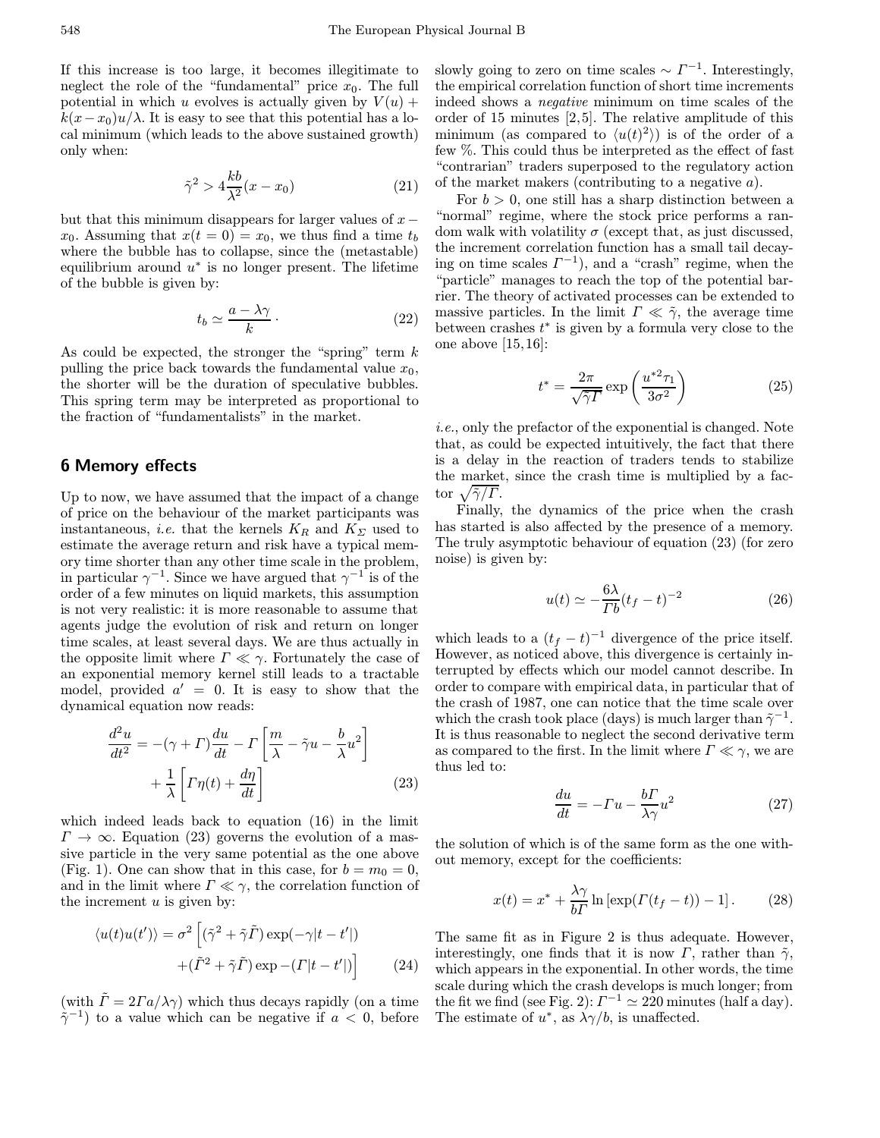If this increase is too large, it becomes illegitimate to neglect the role of the "fundamental" price  $x_0$ . The full potential in which u evolves is actually given by  $V(u)$  +  $k(x-x_0)u/\lambda$ . It is easy to see that this potential has a local minimum (which leads to the above sustained growth) only when:

$$
\tilde{\gamma}^2 > 4\frac{kb}{\lambda^2}(x - x_0) \tag{21}
$$

but that this minimum disappears for larger values of  $x$  $x_0$ . Assuming that  $x(t = 0) = x_0$ , we thus find a time  $t_b$ where the bubble has to collapse, since the (metastable) equilibrium around  $u^*$  is no longer present. The lifetime of the bubble is given by:

$$
t_b \simeq \frac{a - \lambda \gamma}{k} \,. \tag{22}
$$

As could be expected, the stronger the "spring" term  $k$ pulling the price back towards the fundamental value  $x_0$ , the shorter will be the duration of speculative bubbles. This spring term may be interpreted as proportional to the fraction of "fundamentalists" in the market.

## 6 Memory effects

Up to now, we have assumed that the impact of a change of price on the behaviour of the market participants was instantaneous, *i.e.* that the kernels  $K_R$  and  $K_\Sigma$  used to estimate the average return and risk have a typical memory time shorter than any other time scale in the problem, in particular  $\gamma^{-1}$ . Since we have argued that  $\gamma^{-1}$  is of the order of a few minutes on liquid markets, this assumption is not very realistic: it is more reasonable to assume that agents judge the evolution of risk and return on longer time scales, at least several days. We are thus actually in the opposite limit where  $\Gamma \ll \gamma$ . Fortunately the case of an exponential memory kernel still leads to a tractable model, provided  $a' = 0$ . It is easy to show that the dynamical equation now reads:

$$
\frac{d^2u}{dt^2} = -(\gamma + \Gamma)\frac{du}{dt} - \Gamma\left[\frac{m}{\lambda} - \tilde{\gamma}u - \frac{b}{\lambda}u^2\right] \n+ \frac{1}{\lambda}\left[\Gamma\eta(t) + \frac{d\eta}{dt}\right]
$$
\n(23)

which indeed leads back to equation (16) in the limit  $\Gamma \to \infty$ . Equation (23) governs the evolution of a massive particle in the very same potential as the one above (Fig. 1). One can show that in this case, for  $b = m_0 = 0$ , and in the limit where  $\Gamma \ll \gamma$ , the correlation function of the increment  $u$  is given by:

$$
\langle u(t)u(t')\rangle = \sigma^2 \left[ (\tilde{\gamma}^2 + \tilde{\gamma}\tilde{\Gamma}) \exp(-\gamma|t - t'|) + (\tilde{\Gamma}^2 + \tilde{\gamma}\tilde{\Gamma}) \exp(-(\Gamma|t - t'|)) \right]
$$
(24)

(with  $\tilde{\Gamma} = 2\Gamma a/\lambda \gamma$ ) which thus decays rapidly (on a time  $\tilde{\gamma}^{-1}$ ) to a value which can be negative if  $a < 0$ , before slowly going to zero on time scales  $\sim \Gamma^{-1}$ . Interestingly, the empirical correlation function of short time increments indeed shows a negative minimum on time scales of the order of 15 minutes [2,5]. The relative amplitude of this minimum (as compared to  $\langle u(t)^2 \rangle$ ) is of the order of a few %. This could thus be interpreted as the effect of fast "contrarian" traders superposed to the regulatory action of the market makers (contributing to a negative a).

For  $b > 0$ , one still has a sharp distinction between a "normal" regime, where the stock price performs a random walk with volatility  $\sigma$  (except that, as just discussed, the increment correlation function has a small tail decaying on time scales  $\Gamma^{-1}$ ), and a "crash" regime, when the "particle" manages to reach the top of the potential barrier. The theory of activated processes can be extended to massive particles. In the limit  $\Gamma \ll \tilde{\gamma}$ , the average time between crashes  $t^*$  is given by a formula very close to the one above [15,16]:

$$
t^* = \frac{2\pi}{\sqrt{\tilde{\gamma}I}} \exp\left(\frac{u^{*2}\tau_1}{3\sigma^2}\right) \tag{25}
$$

i.e., only the prefactor of the exponential is changed. Note that, as could be expected intuitively, the fact that there is a delay in the reaction of traders tends to stabilize the market, since the crash time is multiplied by a factor  $\sqrt{\tilde{\gamma}}/\Gamma$ .

Finally, the dynamics of the price when the crash has started is also affected by the presence of a memory. The truly asymptotic behaviour of equation (23) (for zero noise) is given by:

$$
u(t) \simeq -\frac{6\lambda}{\Gamma b}(t_f - t)^{-2}
$$
 (26)

which leads to a  $(t_f - t)^{-1}$  divergence of the price itself. However, as noticed above, this divergence is certainly interrupted by effects which our model cannot describe. In order to compare with empirical data, in particular that of the crash of 1987, one can notice that the time scale over which the crash took place (days) is much larger than  $\tilde{\gamma}^{-1}$ . It is thus reasonable to neglect the second derivative term as compared to the first. In the limit where  $\Gamma \ll \gamma$ , we are thus led to:

$$
\frac{du}{dt} = -\Gamma u - \frac{b\Gamma}{\lambda \gamma} u^2 \tag{27}
$$

the solution of which is of the same form as the one without memory, except for the coefficients:

$$
x(t) = x^* + \frac{\lambda \gamma}{b\Gamma} \ln \left[ \exp(\Gamma(t_f - t)) - 1 \right]. \tag{28}
$$

The same fit as in Figure 2 is thus adequate. However, interestingly, one finds that it is now  $\Gamma$ , rather than  $\tilde{\gamma}$ , which appears in the exponential. In other words, the time scale during which the crash develops is much longer; from the fit we find (see Fig. 2):  $\Gamma^{-1} \simeq 220$  minutes (half a day). The estimate of  $u^*$ , as  $\lambda \gamma/b$ , is unaffected.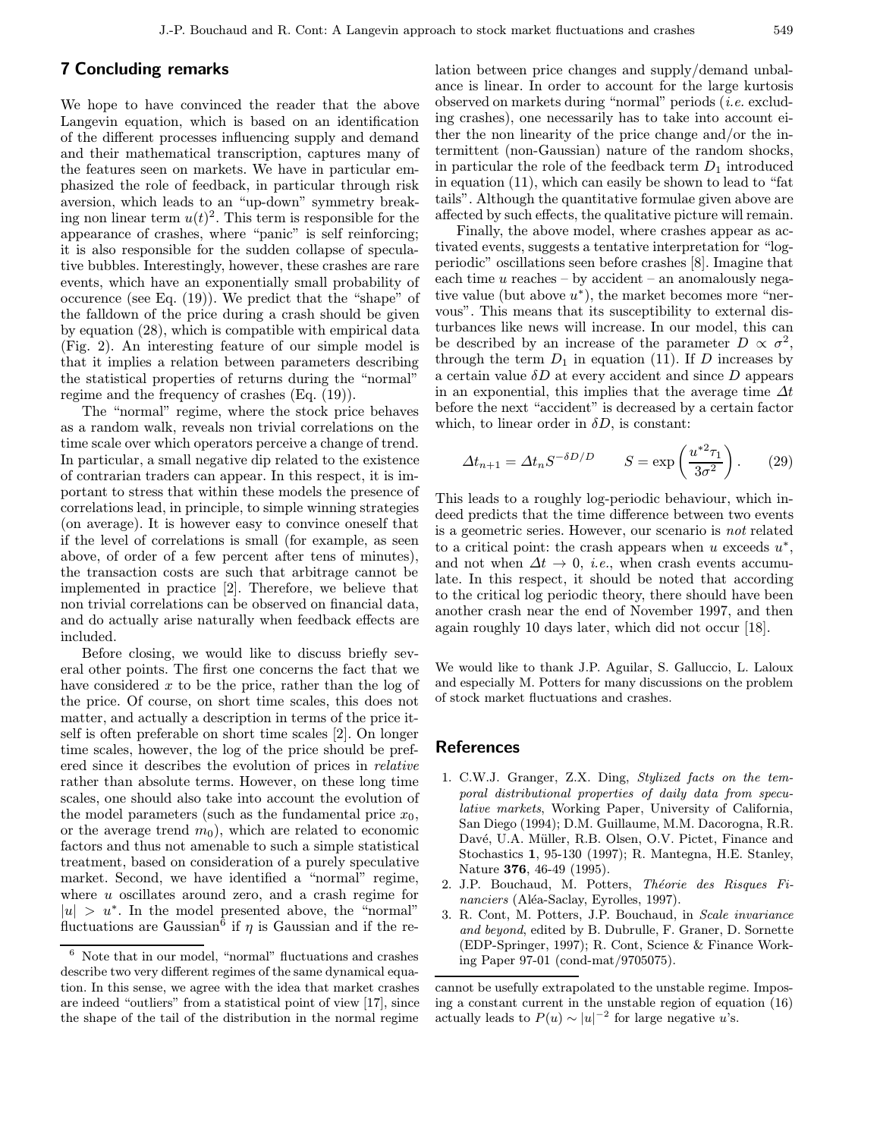## 7 Concluding remarks

We hope to have convinced the reader that the above Langevin equation, which is based on an identification of the different processes influencing supply and demand and their mathematical transcription, captures many of the features seen on markets. We have in particular emphasized the role of feedback, in particular through risk aversion, which leads to an "up-down" symmetry breaking non linear term  $u(t)^2$ . This term is responsible for the appearance of crashes, where "panic" is self reinforcing; it is also responsible for the sudden collapse of speculative bubbles. Interestingly, however, these crashes are rare events, which have an exponentially small probability of occurence (see Eq. (19)). We predict that the "shape" of the falldown of the price during a crash should be given by equation (28), which is compatible with empirical data (Fig. 2). An interesting feature of our simple model is that it implies a relation between parameters describing the statistical properties of returns during the "normal" regime and the frequency of crashes (Eq. (19)).

The "normal" regime, where the stock price behaves as a random walk, reveals non trivial correlations on the time scale over which operators perceive a change of trend. In particular, a small negative dip related to the existence of contrarian traders can appear. In this respect, it is important to stress that within these models the presence of correlations lead, in principle, to simple winning strategies (on average). It is however easy to convince oneself that if the level of correlations is small (for example, as seen above, of order of a few percent after tens of minutes), the transaction costs are such that arbitrage cannot be implemented in practice [2]. Therefore, we believe that non trivial correlations can be observed on financial data, and do actually arise naturally when feedback effects are included.

Before closing, we would like to discuss briefly several other points. The first one concerns the fact that we have considered  $x$  to be the price, rather than the log of the price. Of course, on short time scales, this does not matter, and actually a description in terms of the price itself is often preferable on short time scales [2]. On longer time scales, however, the log of the price should be prefered since it describes the evolution of prices in relative rather than absolute terms. However, on these long time scales, one should also take into account the evolution of the model parameters (such as the fundamental price  $x_0$ , or the average trend  $m_0$ ), which are related to economic factors and thus not amenable to such a simple statistical treatment, based on consideration of a purely speculative market. Second, we have identified a "normal" regime, where  $u$  oscillates around zero, and a crash regime for  $|u| > u^*$ . In the model presented above, the "normal" fluctuations are Gaussian<sup>6</sup> if  $\eta$  is Gaussian and if the relation between price changes and supply/demand unbalance is linear. In order to account for the large kurtosis observed on markets during "normal" periods (i.e. excluding crashes), one necessarily has to take into account either the non linearity of the price change and/or the intermittent (non-Gaussian) nature of the random shocks, in particular the role of the feedback term  $D_1$  introduced in equation (11), which can easily be shown to lead to "fat tails". Although the quantitative formulae given above are affected by such effects, the qualitative picture will remain.

Finally, the above model, where crashes appear as activated events, suggests a tentative interpretation for "logperiodic" oscillations seen before crashes [8]. Imagine that each time  $u$  reaches – by accident – an anomalously negative value (but above  $u^*$ ), the market becomes more "nervous". This means that its susceptibility to external disturbances like news will increase. In our model, this can be described by an increase of the parameter  $D \propto \sigma^2$ , through the term  $D_1$  in equation (11). If D increases by a certain value  $\delta D$  at every accident and since D appears in an exponential, this implies that the average time  $\Delta t$ before the next "accident" is decreased by a certain factor which, to linear order in  $\delta D$ , is constant:

$$
\Delta t_{n+1} = \Delta t_n S^{-\delta D/D} \qquad S = \exp\left(\frac{u^{*2}\tau_1}{3\sigma^2}\right). \tag{29}
$$

This leads to a roughly log-periodic behaviour, which indeed predicts that the time difference between two events is a geometric series. However, our scenario is not related to a critical point: the crash appears when u exceeds  $u^*$ , and not when  $\Delta t \rightarrow 0$ , *i.e.*, when crash events accumulate. In this respect, it should be noted that according to the critical log periodic theory, there should have been another crash near the end of November 1997, and then again roughly 10 days later, which did not occur [18].

We would like to thank J.P. Aguilar, S. Galluccio, L. Laloux and especially M. Potters for many discussions on the problem of stock market fluctuations and crashes.

#### References

- 1. C.W.J. Granger, Z.X. Ding, Stylized facts on the temporal distributional properties of daily data from speculative markets, Working Paper, University of California, San Diego (1994); D.M. Guillaume, M.M. Dacorogna, R.R. Davé, U.A. Müller, R.B. Olsen, O.V. Pictet, Finance and Stochastics 1, 95-130 (1997); R. Mantegna, H.E. Stanley, Nature 376, 46-49 (1995).
- 2. J.P. Bouchaud, M. Potters, Théorie des Risques Financiers (Aléa-Saclay, Eyrolles, 1997).
- 3. R. Cont, M. Potters, J.P. Bouchaud, in Scale invariance and beyond, edited by B. Dubrulle, F. Graner, D. Sornette (EDP-Springer, 1997); R. Cont, Science & Finance Working Paper 97-01 (cond-mat/9705075).

<sup>6</sup> Note that in our model, "normal" fluctuations and crashes describe two very different regimes of the same dynamical equation. In this sense, we agree with the idea that market crashes are indeed "outliers" from a statistical point of view [17], since the shape of the tail of the distribution in the normal regime

cannot be usefully extrapolated to the unstable regime. Imposing a constant current in the unstable region of equation (16) actually leads to  $P(u) \sim |u|^{-2}$  for large negative u's.